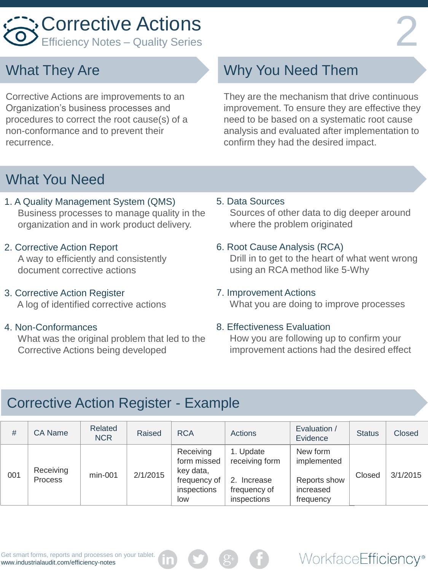

### What They Are

Corrective Actions are improvements to an Organization's business processes and procedures to correct the root cause(s) of a non-conformance and to prevent their recurrence.

# Why You Need Them

They are the mechanism that drive continuous improvement. To ensure they are effective they need to be based on a systematic root cause analysis and evaluated after implementation to confirm they had the desired impact.

### What You Need

- 1. A Quality Management System (QMS) Business processes to manage quality in the organization and in work product delivery.
- 2. Corrective Action Report A way to efficiently and consistently document corrective actions
- 3. Corrective Action Register A log of identified corrective actions

#### 4. Non-Conformances

 What was the original problem that led to the Corrective Actions being developed

5. Data Sources

 Sources of other data to dig deeper around where the problem originated

#### 6. Root Cause Analysis (RCA)

 Drill in to get to the heart of what went wrong using an RCA method like 5-Why

#### 7. Improvement Actions

What you are doing to improve processes

#### 8. Effectiveness Evaluation

 How you are following up to confirm your improvement actions had the desired effect

WorkfaceEfficiency®

## Corrective Action Register - Example

| #   | CA Name                     | Related<br>NCR | Raised   | <b>RCA</b>                                                                  | Actions                                                                   | Evaluation /<br>Evidence                                          | <b>Status</b> | Closed   |
|-----|-----------------------------|----------------|----------|-----------------------------------------------------------------------------|---------------------------------------------------------------------------|-------------------------------------------------------------------|---------------|----------|
| 001 | Receiving<br><b>Process</b> | $min-001$      | 2/1/2015 | Receiving<br>form missed<br>key data,<br>frequency of<br>inspections<br>low | 1. Update<br>receiving form<br>2. Increase<br>frequency of<br>inspections | New form<br>implemented<br>Reports show<br>increased<br>frequency | Closed        | 3/1/2015 |

Get smart forms, reports and processes on your tablet. www.industrialaudit.com/efficiency-notes